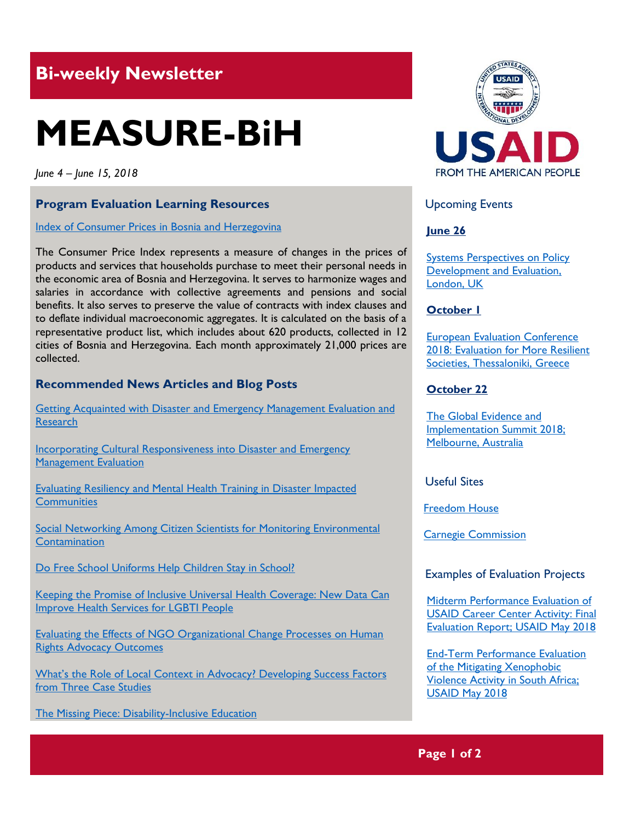# **Bi-weekly Newsletter**

# **MEASURE-BiH**

*June 4 – June 15, 2018*

#### **Program Evaluation Learning Resources**

Index of Consumer Prices in Bosnia and Herzegovina

The Consumer Price Index represents a measure of changes in the prices of products and services that households purchase to meet their personal needs in the economic area of Bosnia and Herzegovina. It serves to harmonize wages and salaries in accordance with collective agreements and pensions and social benefits. It also serves to preserve the value of contracts with index clauses and to deflate individual macroeconomic aggregates. It is calculated on the basis of a representative product list, which includes about 620 products, collected in 12 cities of Bosnia and Herzegovina. Each month approximately 21,000 prices are collected.

#### **Recommended News Articles and Blog Posts**

[Getting Acquainted with Disaster and Emergency Management Evaluation and](https://aea365.org/blog/deme-tig-week-getting-acquainted-with-disaster-and-emergency-management-evaluation-and-research-by-phung-pham-and-jordan-freeman/)  **[Research](https://aea365.org/blog/deme-tig-week-getting-acquainted-with-disaster-and-emergency-management-evaluation-and-research-by-phung-pham-and-jordan-freeman/)** 

[Incorporating Cultural Responsiveness into Disaster and Emergency](https://aea365.org/blog/deme-tig-week-incorporating-cultural-responsiveness-into-disaster-and-emergency-management-evaluation-by-nnenia-campbell/)  [Management Evaluation](https://aea365.org/blog/deme-tig-week-incorporating-cultural-responsiveness-into-disaster-and-emergency-management-evaluation-by-nnenia-campbell/)

[Evaluating Resiliency and Mental Health Training in Disaster Impacted](https://aea365.org/blog/deme-tig-week-evaluating-resiliency-and-mental-health-training-in-disaster-impacted-communities-by-sue-ann-corell-sarpy/)  **[Communities](https://aea365.org/blog/deme-tig-week-evaluating-resiliency-and-mental-health-training-in-disaster-impacted-communities-by-sue-ann-corell-sarpy/)** 

**Social Networking Among Citizen Scientists for Monitoring Environmental [Contamination](https://aea365.org/blog/deme-tig-week-incorporating-cultural-responsiveness-into-disaster-and-emergency-management-evaluation-by-nnenia-campbell/)** 

Do Free School Uniforms Help Children Stay in School?

[Keeping the Promise of Inclusive Universal Health Coverage: New Data Can](https://blogs.worldbank.org/health/keeping-promise-inclusive-universal-health-coverage-new-data-can-improve-health-services-lgbti)  [Improve Health Services for LGBTI People](https://blogs.worldbank.org/health/keeping-promise-inclusive-universal-health-coverage-new-data-can-improve-health-services-lgbti)

[Evaluating the Effects of NGO Organizational Change Processes on Human](https://aea365.org/blog/apc-tig-week-evaluating-the-effects-of-ngo-organizational-change-processes-on-human-rights-advocacy-outcomes-by-tosca-bruno-van-vijfeijken/)  [Rights Advocacy Outcomes](https://aea365.org/blog/apc-tig-week-evaluating-the-effects-of-ngo-organizational-change-processes-on-human-rights-advocacy-outcomes-by-tosca-bruno-van-vijfeijken/)

What's the Role of Local Context in [Advocacy? Developing Success Factors](https://aea365.org/blog/apc-tig-week-whats-the-role-of-local-context-in-advocacy-developing-success-factors-from-three-case-studies-by-johanna-morariu-katie-fox-and-marti-frank/)  [from Three Case Studies](https://aea365.org/blog/apc-tig-week-whats-the-role-of-local-context-in-advocacy-developing-success-factors-from-three-case-studies-by-johanna-morariu-katie-fox-and-marti-frank/)

[The Missing Piece: Disability-Inclusive Education](https://blogs.worldbank.org/education/missing-piece-disability-inclusive-education)



Upcoming Events

#### **June 26**

**Systems Perspectives on Policy** [Development and Evaluation,](http://the-sra.org.uk/event-registration/?ee=636)  [London, UK](http://the-sra.org.uk/event-registration/?ee=636)

#### **October 1**

[European Evaluation Conference](http://www.ees2018.eu/)  [2018: Evaluation for More Resilient](http://www.ees2018.eu/)  [Societies, Thessaloniki, Greece](http://www.ees2018.eu/)

#### **October 22**

[The Global Evidence and](https://www.geis2018.org/)  [Implementation Summit 2018;](https://www.geis2018.org/)  [Melbourne, Australia](https://www.geis2018.org/)

Useful Sites

[Freedom House](https://freedomhouse.org/)

[Carnegie Commission](https://current.org/tag/carnegie-commission/)

#### Examples of Evaluation Projects

[Midterm Performance Evaluation of](https://pdf.usaid.gov/pdf_docs/PA00T2SQ.pdf)  [USAID Career Center Activity: Final](https://pdf.usaid.gov/pdf_docs/PA00T2SQ.pdf)  [Evaluation Report;](https://pdf.usaid.gov/pdf_docs/PA00T2SQ.pdf) USAID May 2018

[End-Term Performance Evaluation](https://pdf.usaid.gov/pdf_docs/PA00T2V9.pdf)  [of the Mitigating Xenophobic](https://pdf.usaid.gov/pdf_docs/PA00T2V9.pdf)  [Violence Activity in South Africa;](https://pdf.usaid.gov/pdf_docs/PA00T2V9.pdf)  [USAID May](https://pdf.usaid.gov/pdf_docs/PA00T2V9.pdf) 2018

### **Page 1 of 2**